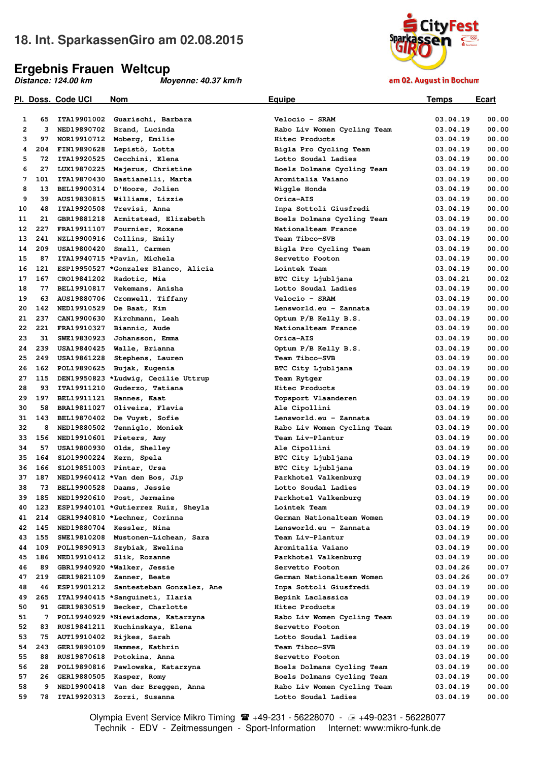## **18. Int. SparkassenGiro am 02.08.2015**

#### **Ergebnis Frauen Weltcup**

*Distance: 124.00 km Moyenne: 40.37 km/h* 



am 02. August in Bochum

|                         |     | <u>Pl. Doss. Code UCI</u> | <b>Nom</b>                           | <u>Equipe</u>               | <u>Temps</u> | <u>Ecart</u> |
|-------------------------|-----|---------------------------|--------------------------------------|-----------------------------|--------------|--------------|
|                         |     |                           |                                      |                             |              |              |
| 1                       | 65  | ITA19901002               | Guarischi, Barbara                   | Velocio - SRAM              | 03.04.19     | 00.00        |
| $\overline{\mathbf{2}}$ | 3   |                           | NED19890702 Brand, Lucinda           | Rabo Liv Women Cycling Team | 03.04.19     | 00.00        |
| 3                       | 97  |                           | NOR19910712 Moberg, Emilie           | Hitec Products              | 03.04.19     | 00.00        |
| 4                       | 204 |                           | FIN19890628 Lepistö, Lotta           | Bigla Pro Cycling Team      | 03.04.19     | 00.00        |
| 5                       | 72  | ITA19920525               | Cecchini, Elena                      | Lotto Soudal Ladies         | 03.04.19     | 00.00        |
| 6                       | 27  | LUX19870225               | Majerus, Christine                   | Boels Dolmans Cycling Team  | 03.04.19     | 00.00        |
| 7                       | 101 |                           | ITA19870430 Bastianelli, Marta       | Aromitalia Vaiano           | 03.04.19     | 00.00        |
| 8                       | 13  |                           | BEL19900314 D'Hoore, Jolien          | Wiggle Honda                | 03.04.19     | 00.00        |
| 9                       | 39  |                           | AUS19830815 Williams, Lizzie         | Orica-AIS                   | 03.04.19     | 00.00        |
| 10                      | 48  |                           | ITA19920508 Trevisi, Anna            | Inpa Sottoli Giusfredi      | 03.04.19     | 00.00        |
| 11                      | 21  |                           | GBR19881218 Armitstead, Elizabeth    | Boels Dolmans Cycling Team  | 03.04.19     | 00.00        |
| 12                      | 227 |                           | FRA19911107 Fournier, Roxane         | Nationalteam France         | 03.04.19     | 00.00        |
| 13                      | 241 |                           | NZL19900916 Collins, Emily           | Team Tibco-SVB              | 03.04.19     | 00.00        |
| 14                      | 209 | <b>USA19800420</b>        | Small, Carmen                        |                             | 03.04.19     | 00.00        |
|                         | 87  |                           |                                      | Bigla Pro Cycling Team      |              |              |
| 15                      |     |                           | ITA19940715 *Pavin, Michela          | Servetto Footon             | 03.04.19     | 00.00        |
| 16                      | 121 |                           | ESP19950527 *Gonzalez Blanco, Alicia | Lointek Team                | 03.04.19     | 00.00        |
| 17                      | 167 |                           | CRO19841202 Radotic, Mia             | BTC City Ljubljana          | 03.04.21     | 00.02        |
| 18                      | 77  |                           | BEL19910817 Vekemans, Anisha         | Lotto Soudal Ladies         | 03.04.19     | 00.00        |
| 19                      | 63  |                           | AUS19880706 Cromwell, Tiffany        | Velocio - SRAM              | 03.04.19     | 00.00        |
| 20                      | 142 |                           | NED19910529 De Baat, Kim             | Lensworld.eu - Zannata      | 03.04.19     | 00.00        |
| 21                      | 237 |                           | CAN19900630 Kirchmann, Leah          | Optum P/B Kelly B.S.        | 03.04.19     | 00.00        |
| 22                      | 221 |                           | FRA19910327 Biannic, Aude            | Nationalteam France         | 03.04.19     | 00.00        |
| 23                      | 31  | SWE19830923               | Johansson, Emma                      | Orica-AIS                   | 03.04.19     | 00.00        |
| 24                      | 239 |                           | USA19840425 Walle, Brianna           | Optum P/B Kelly B.S.        | 03.04.19     | 00.00        |
| 25                      | 249 | <b>USA19861228</b>        | Stephens, Lauren                     | Team Tibco-SVB              | 03.04.19     | 00.00        |
| 26                      | 162 | POL19890625               | Bujak, Eugenia                       | BTC City Ljubljana          | 03.04.19     | 00.00        |
| 27                      | 115 |                           | DEN19950823 *Ludwig, Cecilie Uttrup  | Team Rytger                 | 03.04.19     | 00.00        |
| 28                      | 93  |                           | ITA19911210 Guderzo, Tatiana         | Hitec Products              | 03.04.19     | 00.00        |
| 29                      | 197 |                           | BEL19911121 Hannes, Kaat             | Topsport Vlaanderen         | 03.04.19     | 00.00        |
| 30                      | 58  | BRA19811027               | Oliveira, Flavia                     | Ale Cipollini               | 03.04.19     | 00.00        |
| 31                      | 143 |                           | BEL19870402 De Vuyst, Sofie          | Lensworld.eu - Zannata      | 03.04.19     | 00.00        |
| 32                      | 8   |                           | NED19880502 Tenniglo, Moniek         | Rabo Liv Women Cycling Team | 03.04.19     | 00.00        |
| 33                      | 156 |                           | NED19910601 Pieters, Amy             | Team Liv-Plantur            | 03.04.19     | 00.00        |
| 34                      | 57  |                           | USA19800930 Olds, Shelley            | Ale Cipollini               | 03.04.19     | 00.00        |
| 35                      | 164 |                           | SL019900224 Kern, Spela              | BTC City Ljubljana          | 03.04.19     | 00.00        |
| 36                      | 166 |                           | SL019851003 Pintar, Ursa             | BTC City Ljubljana          | 03.04.19     | 00.00        |
|                         |     |                           |                                      |                             |              |              |
| 37                      | 187 |                           | NED19960412 *Van den Bos, Jip        | Parkhotel Valkenburg        | 03.04.19     | 00.00        |
| 38                      | 73  |                           | BEL19900528 Daams, Jessie            | Lotto Soudal Ladies         | 03.04.19     | 00.00        |
| 39                      | 185 |                           | NED19920610 Post, Jermaine           | Parkhotel Valkenburg        | 03.04.19     | 00.00        |
| 40                      | 123 |                           | ESP19940101 *Gutierrez Ruiz, Sheyla  | Lointek Team                | 03.04.19     | 00.00        |
| 41                      | 214 |                           | GER19940810 *Lechner, Corinna        | German Nationalteam Women   | 03.04.19     | 00.00        |
| 42                      | 145 |                           | NED19880704 Kessler, Nina            | Lensworld.eu - Zannata      | 03.04.19     | 00.00        |
| 43                      | 155 |                           | SWE19810208 Mustonen-Lichean, Sara   | Team Liv-Plantur            | 03.04.19     | 00.00        |
| 44                      | 109 |                           | POL19890913 Szybiak, Ewelina         | Aromitalia Vaiano           | 03.04.19     | 00.00        |
| 45                      | 186 |                           | NED19910412 Slik, Rozanne            | Parkhotel Valkenburg        | 03.04.19     | 00.00        |
| 46                      | 89  |                           | GBR19940920 *Walker, Jessie          | Servetto Footon             | 03.04.26     | 00.07        |
| 47                      | 219 | <b>GER19821109</b>        | Zanner, Beate                        | German Nationalteam Women   | 03.04.26     | 00.07        |
| 48                      | 46  | ESP19901212               | Santesteban Gonzalez, Ane            | Inpa Sottoli Giusfredi      | 03.04.19     | 00.00        |
| 49                      | 265 |                           | ITA19940415 *Sanguineti, Ilaria      | Bepink Laclassica           | 03.04.19     | 00.00        |
| 50                      | 91  | GER19830519               | Becker, Charlotte                    | Hitec Products              | 03.04.19     | 00.00        |
| 51                      | 7   |                           | POL19940929 *Niewiadoma, Katarzyna   | Rabo Liv Women Cycling Team | 03.04.19     | 00.00        |
| 52                      | 83  |                           | RUS19841211 Kuchinskaya, Elena       | Servetto Footon             | 03.04.19     | 00.00        |
| 53                      | 75  |                           | AUT19910402 Rijkes, Sarah            | Lotto Soudal Ladies         | 03.04.19     | 00.00        |
| 54                      | 243 |                           | GER19890109 Hammes, Kathrin          | Team Tibco-SVB              | 03.04.19     | 00.00        |
| 55                      | 88  |                           | RUS19870618 Potokina, Anna           | Servetto Footon             | 03.04.19     | 00.00        |
| 56                      | 28  |                           | POL19890816 Pawlowska, Katarzyna     | Boels Dolmans Cycling Team  | 03.04.19     | 00.00        |
| 57                      | 26  |                           | GER19880505 Kasper, Romy             | Boels Dolmans Cycling Team  | 03.04.19     | 00.00        |
| 58                      |     |                           |                                      |                             |              | 00.00        |
|                         | 9   |                           | NED19900418 Van der Breggen, Anna    | Rabo Liv Women Cycling Team | 03.04.19     |              |
| 59                      | 78  |                           | ITA19920313 Zorzi, Susanna           | Lotto Soudal Ladies         | 03.04.19     | 00.00        |

Olympia Event Service Mikro Timing <sup>2</sup> +49-231 - 56228070 - → +49-0231 - 56228077 Technik - EDV - Zeitmessungen - Sport-Information Internet: www:mikro-funk.de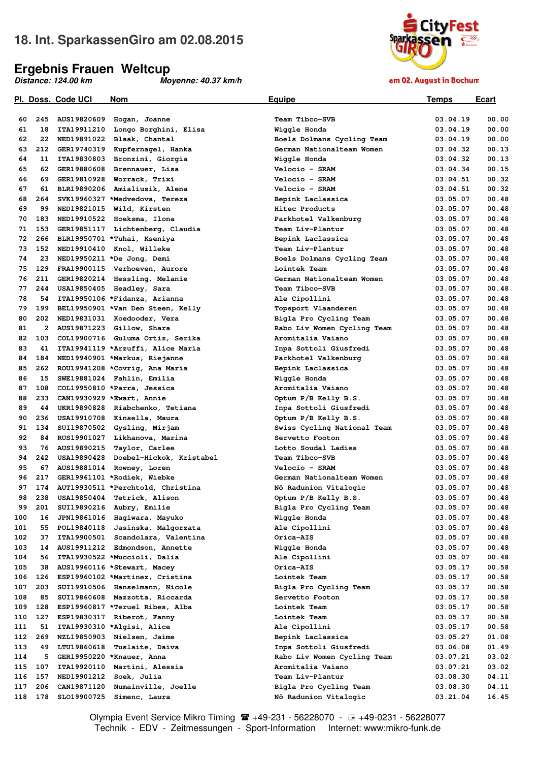## **18. Int. SparkassenGiro am 02.08.2015**

### **Ergebnis Frauen Weltcup**

*Distance: 124.00 km Moyenne: 40.37 km/h* 



am 02. August in Bochum

|     |     | <u>Pl.  Doss.  Code UCI</u> | <b>Nom</b>                           | <u>Equipe</u>               | <u>Temps</u> | <u>Ecart</u> |
|-----|-----|-----------------------------|--------------------------------------|-----------------------------|--------------|--------------|
|     |     |                             |                                      |                             |              |              |
| 60  | 245 |                             | AUS19820609 Hogan, Joanne            | Team Tibco-SVB              | 03.04.19     | 00.00        |
| 61  | 18  |                             | ITA19911210 Longo Borghini, Elisa    | Wiggle Honda                | 03.04.19     | 00.00        |
| 62  | 22  |                             | NED19891022 Blaak, Chantal           | Boels Dolmans Cycling Team  | 03.04.19     | 00.00        |
| 63  | 212 |                             | GER19740319 Kupfernagel, Hanka       | German Nationalteam Women   | 03.04.32     | 00.13        |
| 64  | 11  |                             | ITA19830803 Bronzini, Giorgia        | Wiqqle Honda                | 03.04.32     | 00.13        |
| 65  | 62  |                             | GER19880608 Brennauer, Lisa          | Velocio - SRAM              | 03.04.34     | 00.15        |
| 66  | 69  |                             | GER19810928 Worrack, Trixi           | Velocio - SRAM              | 03.04.51     | 00.32        |
| 67  | 61  |                             | BLR19890206 Amialiusik, Alena        | Velocio - SRAM              | 03.04.51     | 00.32        |
| 68  | 264 |                             | SVK19960327 *Medvedova, Tereza       | Bepink Laclassica           | 03.05.07     | 00.48        |
| 69  | 99  |                             | NED19821015 Wild, Kirsten            | Hitec Products              | 03.05.07     | 00.48        |
| 70  | 183 |                             | NED19910522 Hoeksma, Ilona           | Parkhotel Valkenburg        | 03.05.07     | 00.48        |
| 71  | 153 |                             | GER19851117 Lichtenberg, Claudia     | Team Liv-Plantur            | 03.05.07     | 00.48        |
| 72  | 266 |                             | BLR19950701 *Tuhai, Kseniya          | Bepink Laclassica           | 03.05.07     | 00.48        |
| 73  | 152 |                             | NED19910410 Knol, Willeke            | Team Liv-Plantur            | 03.05.07     | 00.48        |
| 74  | 23  |                             | NED19950211 *De Jong, Demi           | Boels Dolmans Cycling Team  | 03.05.07     | 00.48        |
| 75  | 129 |                             | FRA19900115 Verhoeven, Aurore        | Lointek Team                | 03.05.07     | 00.48        |
| 76  | 211 |                             | GER19820214 Hessling, Melanie        | German Nationalteam Women   | 03.05.07     | 00.48        |
| 77  | 244 |                             | USA19850405 Headley, Sara            | Team Tibco-SVB              | 03.05.07     | 00.48        |
| 78  | 54  |                             | ITA19950106 *Fidanza, Arianna        | Ale Cipollini               | 03.05.07     | 00.48        |
| 79  | 199 |                             | BEL19950901 *Van Den Steen, Kelly    | Topsport Vlaanderen         | 03.05.07     | 00.48        |
| 80  |     |                             | 202 NED19831031 Koedooder, Vera      | Bigla Pro Cycling Team      | 03.05.07     | 00.48        |
| 81  | 2   |                             | AUS19871223 Gillow, Shara            | Rabo Liv Women Cycling Team | 03.05.07     | 00.48        |
| 82  | 103 |                             | COL19900716 Guluma Ortiz, Serika     | Aromitalia Vaiano           | 03.05.07     | 00.48        |
| 83  | 41  |                             | ITA19941119 *Arzuffi, Alice Maria    | Inpa Sottoli Giusfredi      | 03.05.07     | 00.48        |
| 84  | 184 |                             | NED19940901 *Markus, Riejanne        | Parkhotel Valkenburg        | 03.05.07     | 00.48        |
| 85  | 262 |                             | ROU19941208 *Covrig, Ana Maria       | Bepink Laclassica           | 03.05.07     | 00.48        |
| 86  | 15  |                             | SWE19881024 Fahlin, Emilia           | Wiggle Honda                | 03.05.07     | 00.48        |
| 87  | 108 |                             | COL19950810 *Parra, Jessica          | Aromitalia Vaiano           | 03.05.07     | 00.48        |
| 88  | 233 |                             | CAN19930929 *Ewart, Annie            | Optum P/B Kelly B.S.        | 03.05.07     | 00.48        |
| 89  | 44  |                             | UKR19890828 Riabchenko, Tetiana      | Inpa Sottoli Giusfredi      | 03.05.07     | 00.48        |
| 90  | 236 |                             | USA19910708 Kinsella, Maura          | Optum P/B Kelly B.S.        | 03.05.07     | 00.48        |
| 91  | 134 |                             | SUI19870502 Gysling, Mirjam          | Swiss Cycling National Team | 03.05.07     | 00.48        |
| 92  | 84  |                             | RUS19901027 Likhanova, Marina        | Servetto Footon             | 03.05.07     | 00.48        |
| 93  | 76  |                             | AUS19890215 Taylor, Carlee           | Lotto Soudal Ladies         | 03.05.07     | 00.48        |
| 94  | 242 |                             | USA19890428 Doebel-Hickok, Kristabel | Team Tibco-SVB              | 03.05.07     | 00.48        |
| 95  | 67  |                             | AUS19881014 Rowney, Loren            | Velocio - SRAM              | 03.05.07     | 00.48        |
| 96  | 217 |                             | GER19961101 *Rodiek, Wiebke          | German Nationalteam Women   | 03.05.07     | 00.48        |
| 97  | 174 |                             |                                      |                             | 03.05.07     | 00.48        |
| 98  | 238 |                             | AUT19930511 *Perchtold, Christina    | Nö Radunion Vitalogic       |              | 00.48        |
|     |     |                             | USA19850404 Tetrick, Alison          | Optum P/B Kelly B.S.        | 03.05.07     |              |
| 99  | 201 |                             | SUI19890216 Aubry, Emilie            | Bigla Pro Cycling Team      | 03.05.07     | 00.48        |
| 100 | 16  |                             | JPN19861016 Hagiwara, Mayuko         | Wiggle Honda                | 03.05.07     | 00.48        |
| 101 | 55  |                             | POL19840118 Jasinska, Malgorzata     | Ale Cipollini               | 03.05.07     | 00.48        |
| 102 | 37  |                             | ITA19900501 Scandolara, Valentina    | Orica-AIS                   | 03.05.07     | 00.48        |
| 103 | 14  |                             | AUS19911212 Edmondson, Annette       | Wiggle Honda                | 03.05.07     | 00.48        |
| 104 | 56  |                             | ITA19930522 *Muccioli, Dalia         | Ale Cipollini               | 03.05.07     | 00.48        |
| 105 | 38  |                             | AUS19960116 *Stewart, Macey          | Orica-AIS                   | 03.05.17     | 00.58        |
| 106 | 126 |                             | ESP19960102 *Martinez, Cristina      | Lointek Team                | 03.05.17     | 00.58        |
| 107 | 203 |                             | SUI19910506 Hanselmann, Nicole       | Bigla Pro Cycling Team      | 03.05.17     | 00.58        |
| 108 | 85  |                             | SUI19860608 Mazzotta, Riccarda       | Servetto Footon             | 03.05.17     | 00.58        |
| 109 | 128 |                             | ESP19960817 *Teruel Ribes, Alba      | Lointek Team                | 03.05.17     | 00.58        |
| 110 | 127 |                             | ESP19830317 Riberot, Fanny           | Lointek Team                | 03.05.17     | 00.58        |
| 111 | 51  |                             | ITA19930310 *Algisi, Alice           | Ale Cipollini               | 03.05.17     | 00.58        |
| 112 | 269 |                             | NZL19850903 Nielsen, Jaime           | Bepink Laclassica           | 03.05.27     | 01.08        |
| 113 | 49  | LTU19860618                 | Tuslaite, Daiva                      | Inpa Sottoli Giusfredi      | 03.06.08     | 01.49        |
| 114 | 5   |                             | GER19950220 *Knauer, Anna            | Rabo Liv Women Cycling Team | 03.07.21     | 03.02        |
| 115 | 107 |                             | ITA19920110 Martini, Alessia         | Aromitalia Vaiano           | 03.07.21     | 03.02        |
| 116 | 157 |                             | NED19901212 Soek, Julia              | Team Liv-Plantur            | 03.08.30     | 04.11        |
| 117 | 206 |                             | CAN19871120 Numainville, Joelle      | Bigla Pro Cycling Team      | 03.08.30     | 04.11        |
| 118 | 178 |                             | SL019900725 Simenc, Laura            | Nö Radunion Vitalogic       | 03.21.04     | 16.45        |

Olympia Event Service Mikro Timing <sup>2</sup> +49-231 - 56228070 - → +49-0231 - 56228077 Technik - EDV - Zeitmessungen - Sport-Information Internet: www:mikro-funk.de